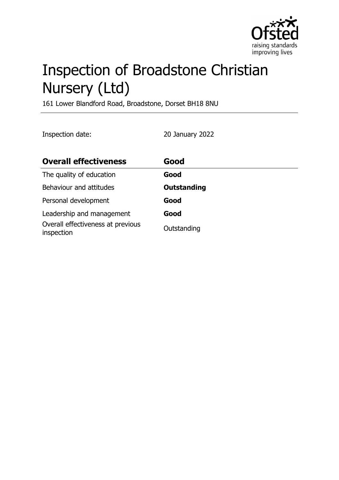

# Inspection of Broadstone Christian Nursery (Ltd)

161 Lower Blandford Road, Broadstone, Dorset BH18 8NU

Inspection date: 20 January 2022

| <b>Overall effectiveness</b>                    | Good               |
|-------------------------------------------------|--------------------|
| The quality of education                        | Good               |
| Behaviour and attitudes                         | <b>Outstanding</b> |
| Personal development                            | Good               |
| Leadership and management                       | Good               |
| Overall effectiveness at previous<br>inspection | Outstanding        |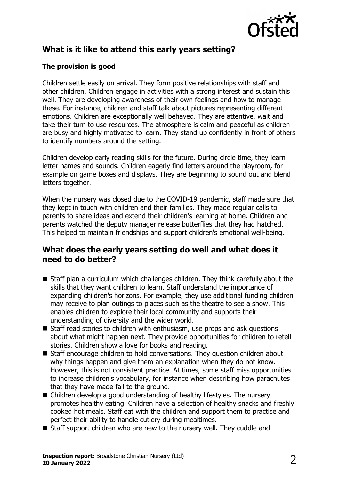

## **What is it like to attend this early years setting?**

### **The provision is good**

Children settle easily on arrival. They form positive relationships with staff and other children. Children engage in activities with a strong interest and sustain this well. They are developing awareness of their own feelings and how to manage these. For instance, children and staff talk about pictures representing different emotions. Children are exceptionally well behaved. They are attentive, wait and take their turn to use resources. The atmosphere is calm and peaceful as children are busy and highly motivated to learn. They stand up confidently in front of others to identify numbers around the setting.

Children develop early reading skills for the future. During circle time, they learn letter names and sounds. Children eagerly find letters around the playroom, for example on game boxes and displays. They are beginning to sound out and blend letters together.

When the nursery was closed due to the COVID-19 pandemic, staff made sure that they kept in touch with children and their families. They made regular calls to parents to share ideas and extend their children's learning at home. Children and parents watched the deputy manager release butterflies that they had hatched. This helped to maintain friendships and support children's emotional well-being.

## **What does the early years setting do well and what does it need to do better?**

- $\blacksquare$  Staff plan a curriculum which challenges children. They think carefully about the skills that they want children to learn. Staff understand the importance of expanding children's horizons. For example, they use additional funding children may receive to plan outings to places such as the theatre to see a show. This enables children to explore their local community and supports their understanding of diversity and the wider world.
- $\blacksquare$  Staff read stories to children with enthusiasm, use props and ask questions about what might happen next. They provide opportunities for children to retell stories. Children show a love for books and reading.
- $\blacksquare$  Staff encourage children to hold conversations. They question children about why things happen and give them an explanation when they do not know. However, this is not consistent practice. At times, some staff miss opportunities to increase children's vocabulary, for instance when describing how parachutes that they have made fall to the ground.
- Children develop a good understanding of healthy lifestyles. The nursery promotes healthy eating. Children have a selection of healthy snacks and freshly cooked hot meals. Staff eat with the children and support them to practise and perfect their ability to handle cutlery during mealtimes.
- $\blacksquare$  Staff support children who are new to the nursery well. They cuddle and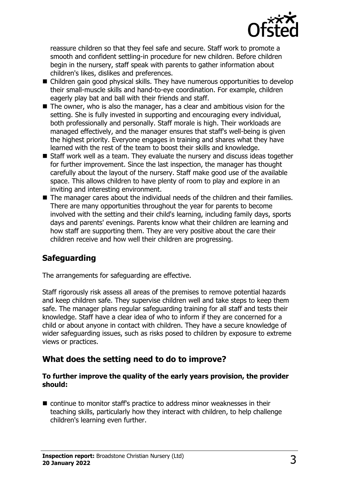

reassure children so that they feel safe and secure. Staff work to promote a smooth and confident settling-in procedure for new children. Before children begin in the nursery, staff speak with parents to gather information about children's likes, dislikes and preferences.

- Children gain good physical skills. They have numerous opportunities to develop their small-muscle skills and hand-to-eye coordination. For example, children eagerly play bat and ball with their friends and staff.
- $\blacksquare$  The owner, who is also the manager, has a clear and ambitious vision for the setting. She is fully invested in supporting and encouraging every individual, both professionally and personally. Staff morale is high. Their workloads are managed effectively, and the manager ensures that staff's well-being is given the highest priority. Everyone engages in training and shares what they have learned with the rest of the team to boost their skills and knowledge.
- $\blacksquare$  Staff work well as a team. They evaluate the nursery and discuss ideas together for further improvement. Since the last inspection, the manager has thought carefully about the layout of the nursery. Staff make good use of the available space. This allows children to have plenty of room to play and explore in an inviting and interesting environment.
- $\blacksquare$  The manager cares about the individual needs of the children and their families. There are many opportunities throughout the year for parents to become involved with the setting and their child's learning, including family days, sports days and parents' evenings. Parents know what their children are learning and how staff are supporting them. They are very positive about the care their children receive and how well their children are progressing.

## **Safeguarding**

The arrangements for safeguarding are effective.

Staff rigorously risk assess all areas of the premises to remove potential hazards and keep children safe. They supervise children well and take steps to keep them safe. The manager plans regular safeguarding training for all staff and tests their knowledge. Staff have a clear idea of who to inform if they are concerned for a child or about anyone in contact with children. They have a secure knowledge of wider safeguarding issues, such as risks posed to children by exposure to extreme views or practices.

### **What does the setting need to do to improve?**

#### **To further improve the quality of the early years provision, the provider should:**

 $\blacksquare$  continue to monitor staff's practice to address minor weaknesses in their teaching skills, particularly how they interact with children, to help challenge children's learning even further.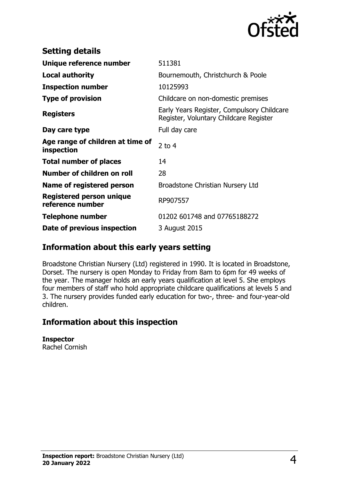

| <b>Setting details</b>                              |                                                                                      |
|-----------------------------------------------------|--------------------------------------------------------------------------------------|
| Unique reference number                             | 511381                                                                               |
| <b>Local authority</b>                              | Bournemouth, Christchurch & Poole                                                    |
| <b>Inspection number</b>                            | 10125993                                                                             |
| <b>Type of provision</b>                            | Childcare on non-domestic premises                                                   |
| <b>Registers</b>                                    | Early Years Register, Compulsory Childcare<br>Register, Voluntary Childcare Register |
| Day care type                                       | Full day care                                                                        |
| Age range of children at time of<br>inspection      | $2$ to 4                                                                             |
| <b>Total number of places</b>                       | 14                                                                                   |
| Number of children on roll                          | 28                                                                                   |
| <b>Name of registered person</b>                    | Broadstone Christian Nursery Ltd                                                     |
| <b>Registered person unique</b><br>reference number | RP907557                                                                             |
| <b>Telephone number</b>                             | 01202 601748 and 07765188272                                                         |
| Date of previous inspection                         | 3 August 2015                                                                        |

## **Information about this early years setting**

Broadstone Christian Nursery (Ltd) registered in 1990. It is located in Broadstone, Dorset. The nursery is open Monday to Friday from 8am to 6pm for 49 weeks of the year. The manager holds an early years qualification at level 5. She employs four members of staff who hold appropriate childcare qualifications at levels 5 and 3. The nursery provides funded early education for two-, three- and four-year-old children.

## **Information about this inspection**

**Inspector** Rachel Cornish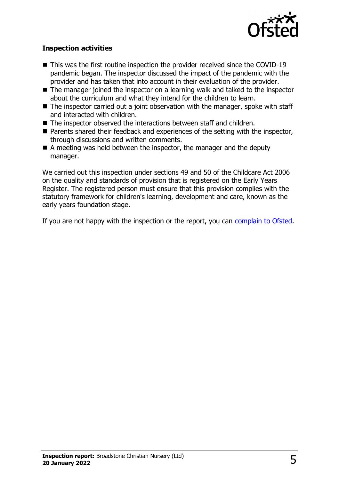

#### **Inspection activities**

- $\blacksquare$  This was the first routine inspection the provider received since the COVID-19 pandemic began. The inspector discussed the impact of the pandemic with the provider and has taken that into account in their evaluation of the provider.
- $\blacksquare$  The manager joined the inspector on a learning walk and talked to the inspector about the curriculum and what they intend for the children to learn.
- $\blacksquare$  The inspector carried out a joint observation with the manager, spoke with staff and interacted with children.
- $\blacksquare$  The inspector observed the interactions between staff and children.
- $\blacksquare$  Parents shared their feedback and experiences of the setting with the inspector, through discussions and written comments.
- $\blacksquare$  A meeting was held between the inspector, the manager and the deputy manager.

We carried out this inspection under sections 49 and 50 of the Childcare Act 2006 on the quality and standards of provision that is registered on the Early Years Register. The registered person must ensure that this provision complies with the statutory framework for children's learning, development and care, known as the early years foundation stage.

If you are not happy with the inspection or the report, you can [complain to Ofsted](http://www.gov.uk/complain-ofsted-report).